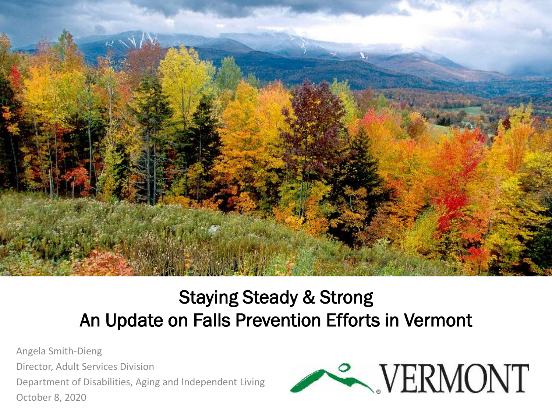

#### Staying Steady & Strong An Update on Falls Prevention Efforts in Vermont

Angela Smith-Dieng Director, Adult Services Division Department of Disabilities, Aging and Independent Living October 8, 2020

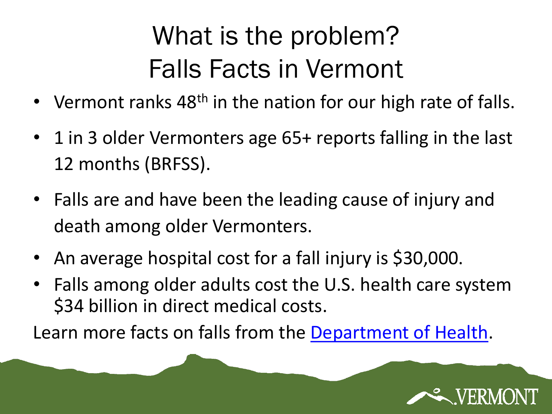## What is the problem? Falls Facts in Vermont

- Vermont ranks 48<sup>th</sup> in the nation for our high rate of falls.
- 1 in 3 older Vermonters age 65+ reports falling in the last 12 months (BRFSS).
- Falls are and have been the leading cause of injury and death among older Vermonters.
- An average hospital cost for a fall injury is \$30,000.
- Falls among older adults cost the U.S. health care system \$34 billion in direct medical costs.

Learn more facts on falls from the [Department of Health.](https://www.healthvermont.gov/emergency-preparedness-ems/injury-prevention/prevent-falls)

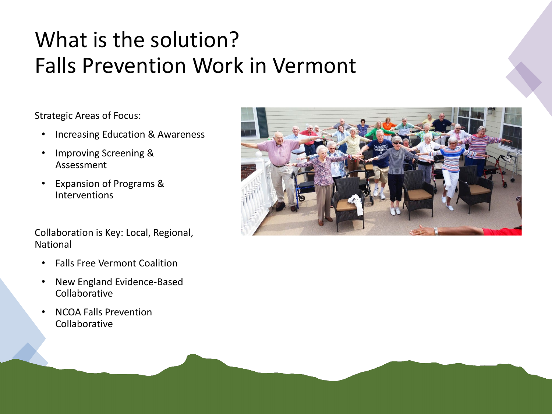#### What is the solution? Falls Prevention Work in Vermont

Strategic Areas of Focus:

- Increasing Education & Awareness
- Improving Screening & Assessment
- Expansion of Programs & Interventions

Collaboration is Key: Local, Regional, National

- Falls Free Vermont Coalition
- New England Evidence-Based Collaborative
- NCOA Falls Prevention Collaborative

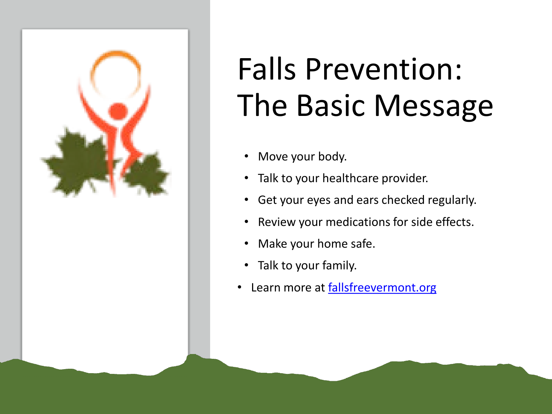

# Falls Prevention: The Basic Message

- Move your body.
- Talk to your healthcare provider.
- Get your eyes and ears checked regularly.
- Review your medications for side effects.
- Make your home safe.
- Talk to your family.
- Learn more at [fallsfreevermont.org](https://fallsfreevermont.org/ind-family/falls-prevention-information.php)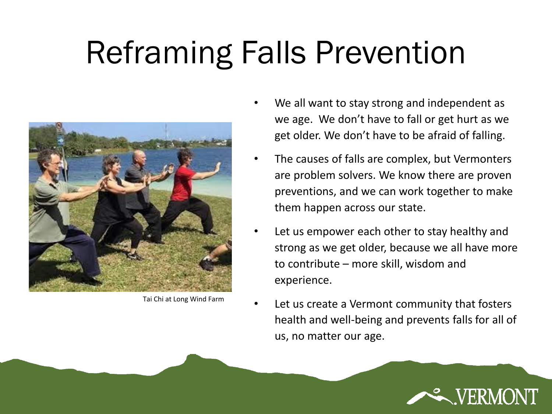# Reframing Falls Prevention



Tai Chi at Long Wind Farm

- We all want to stay strong and independent as we age. We don't have to fall or get hurt as we get older. We don't have to be afraid of falling.
- The causes of falls are complex, but Vermonters are problem solvers. We know there are proven preventions, and we can work together to make them happen across our state.
- Let us empower each other to stay healthy and strong as we get older, because we all have more to contribute – more skill, wisdom and experience.
- Let us create a Vermont community that fosters health and well-being and prevents falls for all of us, no matter our age.

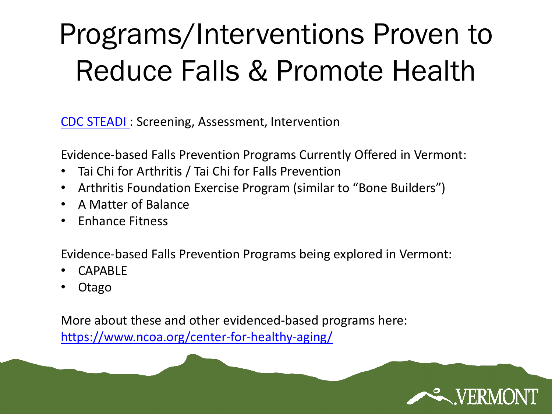## Programs/Interventions Proven to Reduce Falls & Promote Health

[CDC STEADI](https://www.cdc.gov/steadi/index.html) : Screening, Assessment, Intervention

Evidence-based Falls Prevention Programs Currently Offered in Vermont:

- Tai Chi for Arthritis / Tai Chi for Falls Prevention
- Arthritis Foundation Exercise Program (similar to "Bone Builders")
- A Matter of Balance
- Enhance Fitness

Evidence-based Falls Prevention Programs being explored in Vermont:

- CAPABLE
- Otago

More about these and other evidenced-based programs here: <https://www.ncoa.org/center-for-healthy-aging/>

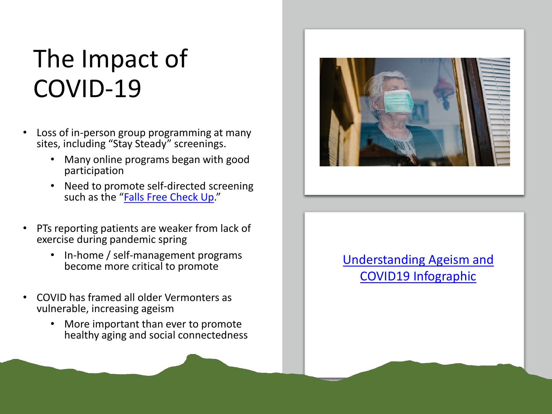## The Impact of COVID-19

- Loss of in-person group programming at many sites, including "Stay Steady" screenings.
	- Many online programs began with good participation
	- Need to promote self-directed screening such as the "[Falls Free Check Up](https://www.ncoa.org/healthy-aging/falls-prevention/falls-free-checkup/)."
- PTs reporting patients are weaker from lack of exercise during pandemic spring
	- In-home / self-management programs become more critical to promote
- COVID has framed all older Vermonters as vulnerable, increasing ageism
	- More important than ever to promote healthy aging and social connectedness



#### [Understanding Ageism and](https://www.geron.org/images/gsa/reframing/AgeismInfographic_final.pdf) COVID19 Infographic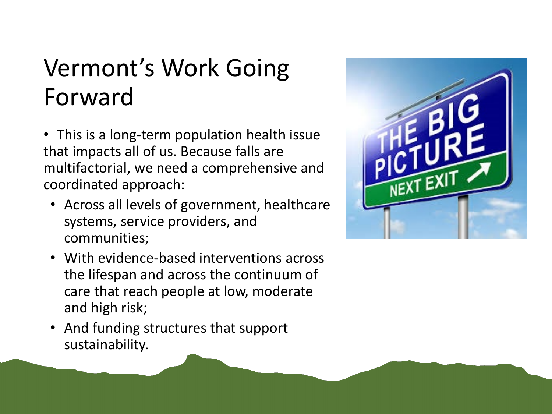### Vermont's Work Going Forward

- This is a long-term population health issue that impacts all of us. Because falls are multifactorial, we need a comprehensive and coordinated approach:
	- Across all levels of government, healthcare systems, service providers, and communities;
	- With evidence-based interventions across the lifespan and across the continuum of care that reach people at low, moderate and high risk;
	- And funding structures that support sustainability.

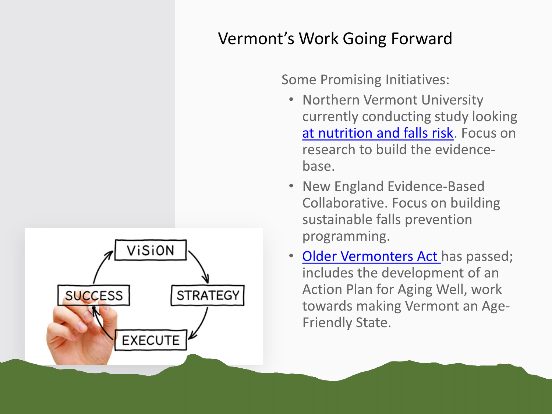#### Vermont's Work Going Forward

**Some Promising Initiatives:** 

- Northern Vermont University currently conducting study looking [at nutrition and falls risk](https://www.northernvermont.edu/falls-risk-and-nutrition-research-northern-vermont-university). Focus on research to build the evidencebase.
- New England Evidence-Based Collaborative. Focus on building sustainable falls prevention programming.
- [Older Vermonters Act](https://legislature.vermont.gov/Documents/2020/Docs/BILLS/H-0611/H-0611%20As%20Passed%20by%20Both%20House%20and%20Senate%20Unofficial.pdf) has passed; includes the development of an Action Plan for Aging Well, work towards making Vermont an Age-**Friendly State.**